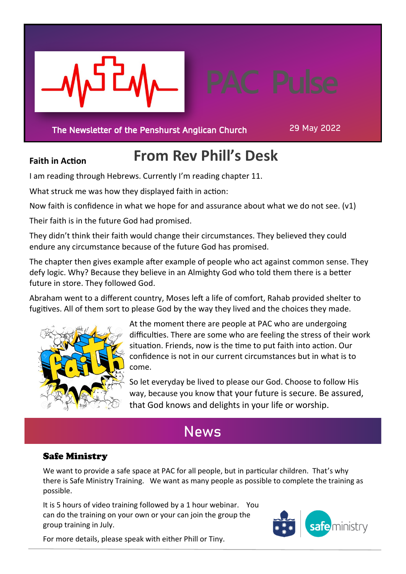

The Newsletter of the Penshurst Anglican Church

29 May 2022

### **Faith in Action**

## **From Rev Phill's Desk**

I am reading through Hebrews. Currently I'm reading chapter 11.

What struck me was how they displayed faith in action:

Now faith is confidence in what we hope for and assurance about what we do not see. (v1)

Their faith is in the future God had promised.

They didn't think their faith would change their circumstances. They believed they could endure any circumstance because of the future God has promised.

The chapter then gives example after example of people who act against common sense. They defy logic. Why? Because they believe in an Almighty God who told them there is a better future in store. They followed God.

Abraham went to a different country, Moses left a life of comfort, Rahab provided shelter to fugitives. All of them sort to please God by the way they lived and the choices they made.



At the moment there are people at PAC who are undergoing difficulties. There are some who are feeling the stress of their work situation. Friends, now is the time to put faith into action. Our confidence is not in our current circumstances but in what is to come.

So let everyday be lived to please our God. Choose to follow His way, because you know that your future is secure. Be assured, that God knows and delights in your life or worship.

## **News**

### Safe Ministry

We want to provide a safe space at PAC for all people, but in particular children. That's why there is Safe Ministry Training. We want as many people as possible to complete the training as possible.

It is 5 hours of video training followed by a 1 hour webinar. You can do the training on your own or your can join the group the group training in July.



For more details, please speak with either Phill or Tiny.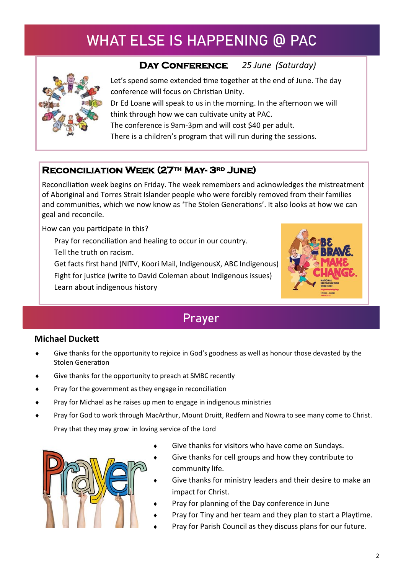# **WHAT ELSE IS HAPPENING @ PAC**



### **Day Conference** *25 June (Saturday)*

 Let's spend some extended time together at the end of June. The day conference will focus on Christian Unity.

 Dr Ed Loane will speak to us in the morning. In the afternoon we will think through how we can cultivate unity at PAC. The conference is 9am-3pm and will cost \$40 per adult.

There is a children's program that will run during the sessions.

### **Reconciliation Week (27th May- 3rd June)**

Reconciliation week begins on Friday. The week remembers and acknowledges the mistreatment of Aboriginal and Torres Strait Islander people who were forcibly removed from their families and communities, which we now know as 'The Stolen Generations'. It also looks at how we can geal and reconcile.

How can you participate in this?

Pray for reconciliation and healing to occur in our country.

Tell the truth on racism.

Get facts first hand (NITV, Koori Mail, IndigenousX, ABC Indigenous)

Fight for justice (write to David Coleman about Indigenous issues) Learn about indigenous history



## **Prayer**

#### **Michael Duckett**

- Give thanks for the opportunity to rejoice in God's goodness as well as honour those devasted by the Stolen Generation
- Give thanks for the opportunity to preach at SMBC recently
- Pray for the government as they engage in reconciliation
- Pray for Michael as he raises up men to engage in indigenous ministries
- Pray for God to work through MacArthur, Mount Druitt, Redfern and Nowra to see many come to Christ. Pray that they may grow in loving service of the Lord



- Give thanks for visitors who have come on Sundays.
- Give thanks for cell groups and how they contribute to community life.
- Give thanks for ministry leaders and their desire to make an impact for Christ.
- Pray for planning of the Day conference in June
- Pray for Tiny and her team and they plan to start a Playtime.
- Pray for Parish Council as they discuss plans for our future.